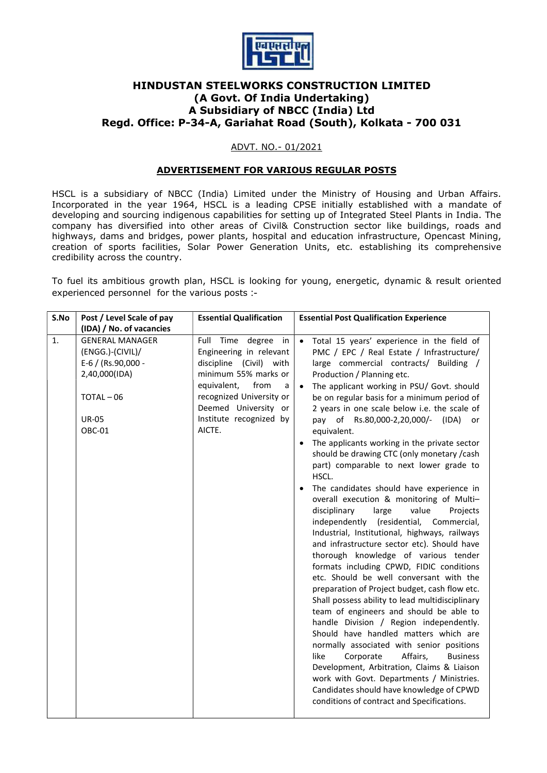

# HINDUSTAN STEELWORKS CONSTRUCTION LIMITED (A Govt. Of India Undertaking) A Subsidiary of NBCC (India) Ltd Regd. Office: P-34-A, Gariahat Road (South), Kolkata - 700 031

## ADVT. NO.- 01/2021

## ADVERTISEMENT FOR VARIOUS REGULAR POSTS

HSCL is a subsidiary of NBCC (India) Limited under the Ministry of Housing and Urban Affairs. Incorporated in the year 1964, HSCL is a leading CPSE initially established with a mandate of developing and sourcing indigenous capabilities for setting up of Integrated Steel Plants in India. The company has diversified into other areas of Civil& Construction sector like buildings, roads and highways, dams and bridges, power plants, hospital and education infrastructure, Opencast Mining, creation of sports facilities, Solar Power Generation Units, etc. establishing its comprehensive credibility across the country.

To fuel its ambitious growth plan, HSCL is looking for young, energetic, dynamic & result oriented experienced personnel for the various posts :-

| S.No | Post / Level Scale of pay                                                                                               | <b>Essential Qualification</b>                                                                                                                                                                                            | <b>Essential Post Qualification Experience</b>                                                                                                                                                                                                                                                                                                                                                                                                                                                                                                                                                                                                                                                                                                                                                                                                                                                                                                                                                                                                                                                                                                                                                                                                                                                                                                                                                                                                                                       |
|------|-------------------------------------------------------------------------------------------------------------------------|---------------------------------------------------------------------------------------------------------------------------------------------------------------------------------------------------------------------------|--------------------------------------------------------------------------------------------------------------------------------------------------------------------------------------------------------------------------------------------------------------------------------------------------------------------------------------------------------------------------------------------------------------------------------------------------------------------------------------------------------------------------------------------------------------------------------------------------------------------------------------------------------------------------------------------------------------------------------------------------------------------------------------------------------------------------------------------------------------------------------------------------------------------------------------------------------------------------------------------------------------------------------------------------------------------------------------------------------------------------------------------------------------------------------------------------------------------------------------------------------------------------------------------------------------------------------------------------------------------------------------------------------------------------------------------------------------------------------------|
|      | (IDA) / No. of vacancies                                                                                                |                                                                                                                                                                                                                           |                                                                                                                                                                                                                                                                                                                                                                                                                                                                                                                                                                                                                                                                                                                                                                                                                                                                                                                                                                                                                                                                                                                                                                                                                                                                                                                                                                                                                                                                                      |
| 1.   | <b>GENERAL MANAGER</b><br>(ENGG.)-(CIVIL)/<br>E-6 / (Rs.90,000 -<br>2,40,000(IDA)<br>TOTAL-06<br><b>UR-05</b><br>OBC-01 | Full Time degree<br>in<br>Engineering in relevant<br>discipline (Civil) with<br>minimum 55% marks or<br>equivalent,<br>from<br>a<br>recognized University or<br>Deemed University or<br>Institute recognized by<br>AICTE. | Total 15 years' experience in the field of<br>$\bullet$<br>PMC / EPC / Real Estate / Infrastructure/<br>large commercial contracts/ Building /<br>Production / Planning etc.<br>The applicant working in PSU/ Govt. should<br>be on regular basis for a minimum period of<br>2 years in one scale below i.e. the scale of<br>pay of Rs.80,000-2,20,000/-<br>(IDA)<br>or<br>equivalent.<br>The applicants working in the private sector<br>should be drawing CTC (only monetary /cash<br>part) comparable to next lower grade to<br>HSCL.<br>The candidates should have experience in<br>overall execution & monitoring of Multi-<br>disciplinary<br>large<br>value<br>Projects<br>independently (residential,<br>Commercial,<br>Industrial, Institutional, highways, railways<br>and infrastructure sector etc). Should have<br>thorough knowledge of various tender<br>formats including CPWD, FIDIC conditions<br>etc. Should be well conversant with the<br>preparation of Project budget, cash flow etc.<br>Shall possess ability to lead multidisciplinary<br>team of engineers and should be able to<br>handle Division / Region independently.<br>Should have handled matters which are<br>normally associated with senior positions<br>like<br>Corporate<br>Affairs,<br><b>Business</b><br>Development, Arbitration, Claims & Liaison<br>work with Govt. Departments / Ministries.<br>Candidates should have knowledge of CPWD<br>conditions of contract and Specifications. |
|      |                                                                                                                         |                                                                                                                                                                                                                           |                                                                                                                                                                                                                                                                                                                                                                                                                                                                                                                                                                                                                                                                                                                                                                                                                                                                                                                                                                                                                                                                                                                                                                                                                                                                                                                                                                                                                                                                                      |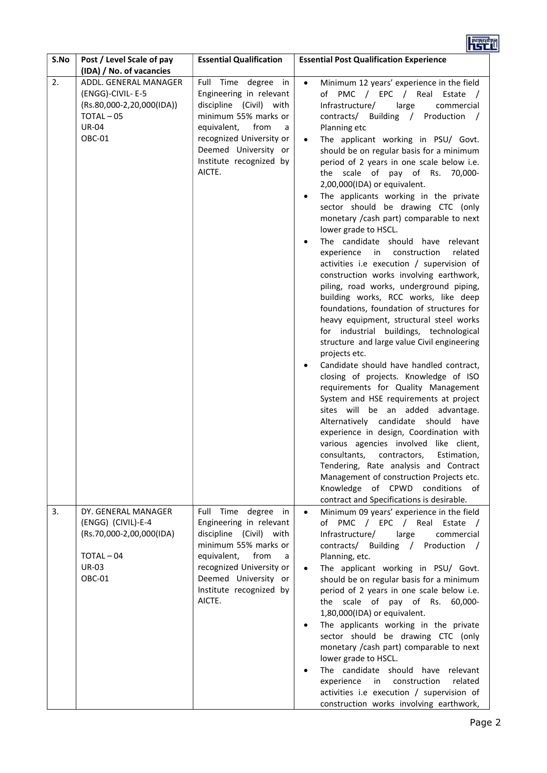| S.No | Post / Level Scale of pay<br>(IDA) / No. of vacancies                                                              | <b>Essential Qualification</b>                                                                                                                                                                                         | <b>Essential Post Qualification Experience</b>                                                                                                                                                                                                                                                                                                                                                                                                                                                                                                                                                                                                                                                                                                                                                                                                                                                                                                                                                                                                                                                                                                                                                                                                                                                                                                                                                                                                                                                                                                                                         |
|------|--------------------------------------------------------------------------------------------------------------------|------------------------------------------------------------------------------------------------------------------------------------------------------------------------------------------------------------------------|----------------------------------------------------------------------------------------------------------------------------------------------------------------------------------------------------------------------------------------------------------------------------------------------------------------------------------------------------------------------------------------------------------------------------------------------------------------------------------------------------------------------------------------------------------------------------------------------------------------------------------------------------------------------------------------------------------------------------------------------------------------------------------------------------------------------------------------------------------------------------------------------------------------------------------------------------------------------------------------------------------------------------------------------------------------------------------------------------------------------------------------------------------------------------------------------------------------------------------------------------------------------------------------------------------------------------------------------------------------------------------------------------------------------------------------------------------------------------------------------------------------------------------------------------------------------------------------|
| 2.   | ADDL. GENERAL MANAGER<br>(ENGG)-CIVIL-E-5<br>(Rs.80,000-2,20,000(IDA))<br>TOTAL-05<br><b>UR-04</b><br>OBC-01       | Full Time degree in<br>Engineering in relevant<br>discipline (Civil) with<br>minimum 55% marks or<br>equivalent,<br>from<br>a<br>recognized University or<br>Deemed University or<br>Institute recognized by<br>AICTE. | Minimum 12 years' experience in the field<br>$\bullet$<br>of PMC / EPC / Real Estate /<br>Infrastructure/<br>large<br>commercial<br>contracts/ Building / Production<br>Planning etc<br>The applicant working in PSU/ Govt.<br>should be on regular basis for a minimum<br>period of 2 years in one scale below i.e.<br>the scale of pay of Rs.<br>70,000-<br>2,00,000(IDA) or equivalent.<br>The applicants working in the private<br>sector should be drawing CTC (only<br>monetary / cash part) comparable to next<br>lower grade to HSCL.<br>The candidate should<br>have relevant<br>experience<br>construction<br>related<br>in in<br>activities i.e execution / supervision of<br>construction works involving earthwork,<br>piling, road works, underground piping,<br>building works, RCC works, like deep<br>foundations, foundation of structures for<br>heavy equipment, structural steel works<br>for industrial buildings, technological<br>structure and large value Civil engineering<br>projects etc.<br>Candidate should have handled contract,<br>closing of projects. Knowledge of ISO<br>requirements for Quality Management<br>System and HSE requirements at project<br>sites will be an added<br>advantage.<br>Alternatively candidate should<br>have<br>experience in design, Coordination with<br>various agencies involved like client,<br>consultants.<br>contractors,<br>Estimation,<br>Tendering, Rate analysis and Contract<br>Management of construction Projects etc.<br>Knowledge of CPWD conditions of<br>contract and Specifications is desirable. |
| 3.   | DY. GENERAL MANAGER<br>(ENGG) (CIVIL)-E-4<br>(Rs.70,000-2,00,000(IDA)<br>TOTAL-04<br><b>UR-03</b><br><b>OBC-01</b> | Full Time degree in<br>Engineering in relevant<br>discipline (Civil) with<br>minimum 55% marks or<br>equivalent,<br>from<br>a<br>recognized University or<br>Deemed University or<br>Institute recognized by<br>AICTE. | Minimum 09 years' experience in the field<br>$\bullet$<br>of PMC / EPC / Real Estate /<br>Infrastructure/<br>large<br>commercial<br>contracts/ Building / Production /<br>Planning, etc.<br>The applicant working in PSU/ Govt.<br>should be on regular basis for a minimum<br>period of 2 years in one scale below i.e.<br>the scale of pay of Rs. 60,000-<br>1,80,000(IDA) or equivalent.<br>The applicants working in the private<br>sector should be drawing CTC (only<br>monetary / cash part) comparable to next<br>lower grade to HSCL.<br>The candidate should<br>have relevant<br>experience<br>construction<br>related<br>in<br>activities i.e execution / supervision of<br>construction works involving earthwork,                                                                                                                                                                                                                                                                                                                                                                                                                                                                                                                                                                                                                                                                                                                                                                                                                                                         |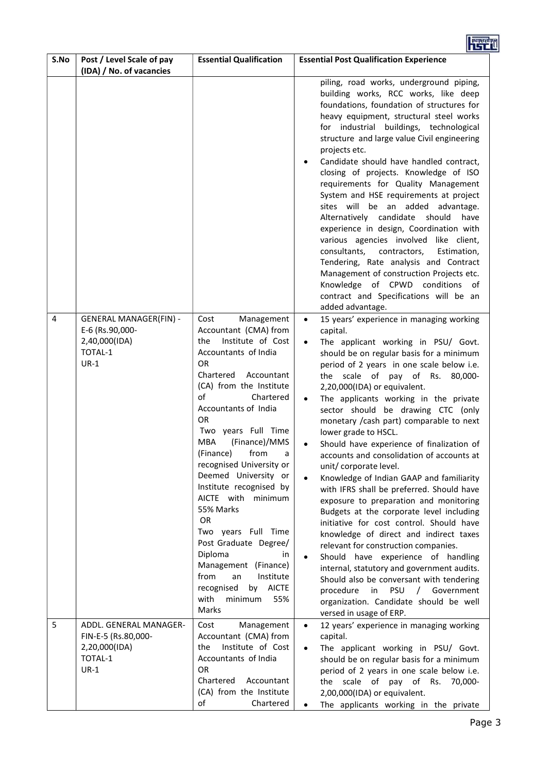|      |                                                                                        |                                                                                                                                                                                                                                                                                                                                                                                                                                                                                                                                                                                                                     | <b>PERTHY</b>                                                                                                                                                                                                                                                                                                                                                                                                                                                                                                                                                                                                                                                                                                                                                                                                                                                                                                                                                                                                                                                                                                                                     |
|------|----------------------------------------------------------------------------------------|---------------------------------------------------------------------------------------------------------------------------------------------------------------------------------------------------------------------------------------------------------------------------------------------------------------------------------------------------------------------------------------------------------------------------------------------------------------------------------------------------------------------------------------------------------------------------------------------------------------------|---------------------------------------------------------------------------------------------------------------------------------------------------------------------------------------------------------------------------------------------------------------------------------------------------------------------------------------------------------------------------------------------------------------------------------------------------------------------------------------------------------------------------------------------------------------------------------------------------------------------------------------------------------------------------------------------------------------------------------------------------------------------------------------------------------------------------------------------------------------------------------------------------------------------------------------------------------------------------------------------------------------------------------------------------------------------------------------------------------------------------------------------------|
| S.No | Post / Level Scale of pay<br>(IDA) / No. of vacancies                                  | <b>Essential Qualification</b>                                                                                                                                                                                                                                                                                                                                                                                                                                                                                                                                                                                      | <b>Essential Post Qualification Experience</b>                                                                                                                                                                                                                                                                                                                                                                                                                                                                                                                                                                                                                                                                                                                                                                                                                                                                                                                                                                                                                                                                                                    |
|      |                                                                                        |                                                                                                                                                                                                                                                                                                                                                                                                                                                                                                                                                                                                                     | piling, road works, underground piping,<br>building works, RCC works, like deep<br>foundations, foundation of structures for<br>heavy equipment, structural steel works<br>for industrial buildings, technological<br>structure and large value Civil engineering<br>projects etc.<br>Candidate should have handled contract,<br>$\bullet$<br>closing of projects. Knowledge of ISO<br>requirements for Quality Management<br>System and HSE requirements at project<br>sites will be an added<br>advantage.<br>Alternatively candidate<br>should<br>have<br>experience in design, Coordination with<br>various agencies involved like client,<br>consultants,<br>contractors,<br>Estimation,<br>Tendering, Rate analysis and Contract<br>Management of construction Projects etc.<br>Knowledge of CPWD conditions<br>of<br>contract and Specifications will be an<br>added advantage.                                                                                                                                                                                                                                                            |
| 4    | <b>GENERAL MANAGER(FIN) -</b><br>E-6 (Rs.90,000-<br>2,40,000(IDA)<br>TOTAL-1<br>$UR-1$ | Cost<br>Management<br>Accountant (CMA) from<br>the<br>Institute of Cost<br>Accountants of India<br><b>OR</b><br>Chartered<br>Accountant<br>(CA) from the Institute<br>of<br>Chartered<br>Accountants of India<br><b>OR</b><br>Two years Full Time<br><b>MBA</b><br>(Finance)/MMS<br>(Finance)<br>from<br>a<br>recognised University or<br>Deemed University or<br>Institute recognised by<br>AICTE with minimum<br>55% Marks<br>OR<br>Two years Full Time<br>Post Graduate Degree/<br>Diploma<br>in<br>Management (Finance)<br>from<br>an<br>Institute<br>recognised<br>by AICTE<br>with<br>minimum<br>55%<br>Marks | 15 years' experience in managing working<br>$\bullet$<br>capital.<br>The applicant working in PSU/ Govt.<br>$\bullet$<br>should be on regular basis for a minimum<br>period of 2 years in one scale below i.e.<br>the scale of pay of Rs.<br>80,000-<br>2,20,000(IDA) or equivalent.<br>The applicants working in the private<br>$\bullet$<br>sector should be drawing CTC (only<br>monetary / cash part) comparable to next<br>lower grade to HSCL.<br>Should have experience of finalization of<br>accounts and consolidation of accounts at<br>unit/ corporate level.<br>Knowledge of Indian GAAP and familiarity<br>$\bullet$<br>with IFRS shall be preferred. Should have<br>exposure to preparation and monitoring<br>Budgets at the corporate level including<br>initiative for cost control. Should have<br>knowledge of direct and indirect taxes<br>relevant for construction companies.<br>Should have experience of handling<br>internal, statutory and government audits.<br>Should also be conversant with tendering<br>procedure<br>PSU<br>/ Government<br>in<br>organization. Candidate should be well<br>versed in usage of ERP. |
| 5    | ADDL. GENERAL MANAGER-<br>FIN-E-5 (Rs.80,000-<br>2,20,000(IDA)<br>TOTAL-1              | Cost<br>Management<br>Accountant (CMA) from<br>Institute of Cost<br>the<br>Accountants of India                                                                                                                                                                                                                                                                                                                                                                                                                                                                                                                     | 12 years' experience in managing working<br>$\bullet$<br>capital.<br>The applicant working in PSU/ Govt.<br>$\bullet$<br>should be on regular basis for a minimum                                                                                                                                                                                                                                                                                                                                                                                                                                                                                                                                                                                                                                                                                                                                                                                                                                                                                                                                                                                 |
|      | $UR-1$                                                                                 | <b>OR</b><br>Chartered<br>Accountant<br>(CA) from the Institute<br>of<br>Chartered                                                                                                                                                                                                                                                                                                                                                                                                                                                                                                                                  | period of 2 years in one scale below i.e.<br>the scale of pay of Rs. 70,000-<br>2,00,000(IDA) or equivalent.<br>The applicants working in the private                                                                                                                                                                                                                                                                                                                                                                                                                                                                                                                                                                                                                                                                                                                                                                                                                                                                                                                                                                                             |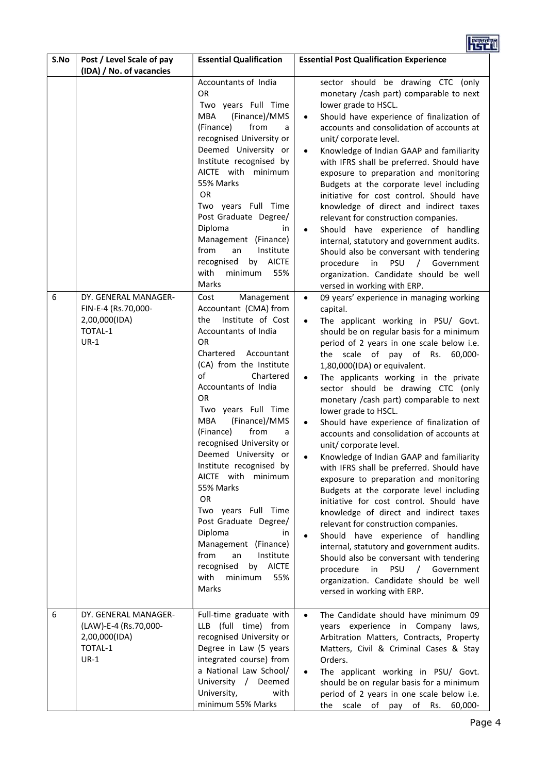

| S.No | Post / Level Scale of pay<br>(IDA) / No. of vacancies                               | <b>Essential Qualification</b>                                                                                                                                                                                                                                                                                                                                                                                                                                                                                                                                                                                                       | <b>Essential Post Qualification Experience</b>                                                                                                                                                                                                                                                                                                                                                                                                                                                                                                                                                                                                                                                                                                                                                                                                                                                                                                                                                                                                                                                                                                                    |
|------|-------------------------------------------------------------------------------------|--------------------------------------------------------------------------------------------------------------------------------------------------------------------------------------------------------------------------------------------------------------------------------------------------------------------------------------------------------------------------------------------------------------------------------------------------------------------------------------------------------------------------------------------------------------------------------------------------------------------------------------|-------------------------------------------------------------------------------------------------------------------------------------------------------------------------------------------------------------------------------------------------------------------------------------------------------------------------------------------------------------------------------------------------------------------------------------------------------------------------------------------------------------------------------------------------------------------------------------------------------------------------------------------------------------------------------------------------------------------------------------------------------------------------------------------------------------------------------------------------------------------------------------------------------------------------------------------------------------------------------------------------------------------------------------------------------------------------------------------------------------------------------------------------------------------|
|      |                                                                                     | Accountants of India<br><b>OR</b><br>Two years Full Time<br><b>MBA</b><br>(Finance)/MMS<br>(Finance)<br>from<br>a<br>recognised University or<br>Deemed University or<br>Institute recognised by<br>AICTE with<br>minimum<br>55% Marks<br><b>OR</b><br>Two years Full Time<br>Post Graduate Degree/<br>Diploma<br>in<br>Management (Finance)<br>from<br>Institute<br>an<br>recognised<br><b>AICTE</b><br>by<br>with<br>minimum<br>55%<br>Marks                                                                                                                                                                                       | sector should be drawing CTC (only<br>monetary / cash part) comparable to next<br>lower grade to HSCL.<br>Should have experience of finalization of<br>accounts and consolidation of accounts at<br>unit/ corporate level.<br>Knowledge of Indian GAAP and familiarity<br>$\bullet$<br>with IFRS shall be preferred. Should have<br>exposure to preparation and monitoring<br>Budgets at the corporate level including<br>initiative for cost control. Should have<br>knowledge of direct and indirect taxes<br>relevant for construction companies.<br>Should have experience of handling<br>$\bullet$<br>internal, statutory and government audits.<br>Should also be conversant with tendering<br>procedure<br><b>PSU</b><br>/ Government<br>in<br>organization. Candidate should be well<br>versed in working with ERP.                                                                                                                                                                                                                                                                                                                                       |
| 6    | DY. GENERAL MANAGER-<br>FIN-E-4 (Rs.70,000-<br>2,00,000(IDA)<br>TOTAL-1<br>$UR-1$   | Cost<br>Management<br>Accountant (CMA) from<br>Institute of Cost<br>the<br>Accountants of India<br><b>OR</b><br>Chartered<br>Accountant<br>(CA) from the Institute<br>of<br>Chartered<br>Accountants of India<br><b>OR</b><br>Two years Full Time<br><b>MBA</b><br>(Finance)/MMS<br>(Finance)<br>from<br>a<br>recognised University or<br>Deemed University or<br>Institute recognised by<br>AICTE with minimum<br>55% Marks<br><b>OR</b><br>Two years Full Time<br>Post Graduate Degree/<br>Diploma<br>in<br>Management (Finance)<br>from<br>Institute<br>an<br>recognised<br><b>AICTE</b><br>by<br>with<br>minimum<br>55%<br>Marks | 09 years' experience in managing working<br>$\bullet$<br>capital.<br>The applicant working in PSU/ Govt.<br>$\bullet$<br>should be on regular basis for a minimum<br>period of 2 years in one scale below i.e.<br>the scale of pay of Rs.<br>60,000-<br>1,80,000(IDA) or equivalent.<br>The applicants working in the private<br>$\bullet$<br>sector should be drawing CTC (only<br>monetary / cash part) comparable to next<br>lower grade to HSCL.<br>Should have experience of finalization of<br>$\bullet$<br>accounts and consolidation of accounts at<br>unit/corporate level.<br>Knowledge of Indian GAAP and familiarity<br>$\bullet$<br>with IFRS shall be preferred. Should have<br>exposure to preparation and monitoring<br>Budgets at the corporate level including<br>initiative for cost control. Should have<br>knowledge of direct and indirect taxes<br>relevant for construction companies.<br>Should have experience of handling<br>internal, statutory and government audits.<br>Should also be conversant with tendering<br>procedure<br>in<br>PSU<br>/ Government<br>organization. Candidate should be well<br>versed in working with ERP. |
| 6    | DY. GENERAL MANAGER-<br>(LAW)-E-4 (Rs.70,000-<br>2,00,000(IDA)<br>TOTAL-1<br>$UR-1$ | Full-time graduate with<br>LLB (full time) from<br>recognised University or<br>Degree in Law (5 years<br>integrated course) from<br>a National Law School/<br>University / Deemed<br>University,<br>with<br>minimum 55% Marks                                                                                                                                                                                                                                                                                                                                                                                                        | The Candidate should have minimum 09<br>$\bullet$<br>years experience in Company laws,<br>Arbitration Matters, Contracts, Property<br>Matters, Civil & Criminal Cases & Stay<br>Orders.<br>The applicant working in PSU/ Govt.<br>$\bullet$<br>should be on regular basis for a minimum<br>period of 2 years in one scale below i.e.<br>scale of pay of<br>Rs.<br>the<br>60,000-                                                                                                                                                                                                                                                                                                                                                                                                                                                                                                                                                                                                                                                                                                                                                                                  |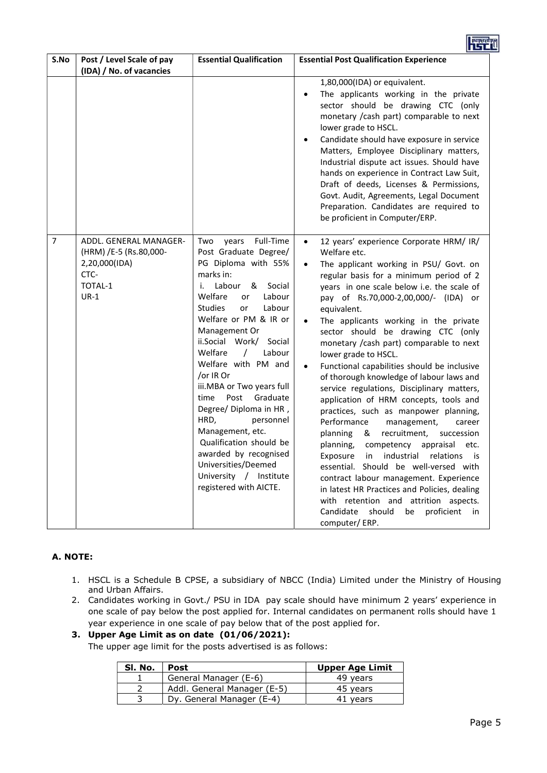| S.No           | Post / Level Scale of pay<br>(IDA) / No. of vacancies                                          | <b>Essential Qualification</b>                                                                                                                                                                                                                                                                                                                                                                                                                                                                                                                                                         | <b>Essential Post Qualification Experience</b>                                                                                                                                                                                                                                                                                                                                                                                                                                                                                                                                                                                                                                                                                                                                                                                                                                                                                                                                                                                                                                                      |
|----------------|------------------------------------------------------------------------------------------------|----------------------------------------------------------------------------------------------------------------------------------------------------------------------------------------------------------------------------------------------------------------------------------------------------------------------------------------------------------------------------------------------------------------------------------------------------------------------------------------------------------------------------------------------------------------------------------------|-----------------------------------------------------------------------------------------------------------------------------------------------------------------------------------------------------------------------------------------------------------------------------------------------------------------------------------------------------------------------------------------------------------------------------------------------------------------------------------------------------------------------------------------------------------------------------------------------------------------------------------------------------------------------------------------------------------------------------------------------------------------------------------------------------------------------------------------------------------------------------------------------------------------------------------------------------------------------------------------------------------------------------------------------------------------------------------------------------|
|                |                                                                                                |                                                                                                                                                                                                                                                                                                                                                                                                                                                                                                                                                                                        | 1,80,000(IDA) or equivalent.<br>The applicants working in the private<br>$\bullet$<br>sector should be drawing CTC (only<br>monetary / cash part) comparable to next<br>lower grade to HSCL.<br>Candidate should have exposure in service<br>$\bullet$<br>Matters, Employee Disciplinary matters,<br>Industrial dispute act issues. Should have<br>hands on experience in Contract Law Suit,<br>Draft of deeds, Licenses & Permissions,<br>Govt. Audit, Agreements, Legal Document<br>Preparation. Candidates are required to<br>be proficient in Computer/ERP.                                                                                                                                                                                                                                                                                                                                                                                                                                                                                                                                     |
| $\overline{7}$ | ADDL. GENERAL MANAGER-<br>(HRM) /E-5 (Rs.80,000-<br>2,20,000(IDA)<br>CTC-<br>TOTAL-1<br>$UR-1$ | Full-Time<br>Two<br>years<br>Post Graduate Degree/<br>PG Diploma with 55%<br>marks in:<br>Labour<br>&<br>Social<br>i.<br>Welfare<br>Labour<br>or<br><b>Studies</b><br>Labour<br>or<br>Welfare or PM & IR or<br>Management Or<br>ii.Social Work/ Social<br>Welfare<br>Labour<br>$\prime$<br>Welfare with PM and<br>/or IR Or<br>iii.MBA or Two years full<br>Post<br>Graduate<br>time<br>Degree/ Diploma in HR,<br>HRD,<br>personnel<br>Management, etc.<br>Qualification should be<br>awarded by recognised<br>Universities/Deemed<br>University / Institute<br>registered with AICTE. | 12 years' experience Corporate HRM/ IR/<br>$\bullet$<br>Welfare etc.<br>The applicant working in PSU/ Govt. on<br>$\bullet$<br>regular basis for a minimum period of 2<br>years in one scale below i.e. the scale of<br>pay of Rs.70,000-2,00,000/- (IDA) or<br>equivalent.<br>The applicants working in the private<br>sector should be drawing CTC (only<br>monetary / cash part) comparable to next<br>lower grade to HSCL.<br>Functional capabilities should be inclusive<br>of thorough knowledge of labour laws and<br>service regulations, Disciplinary matters,<br>application of HRM concepts, tools and<br>practices, such as manpower planning,<br>Performance<br>management,<br>career<br>planning<br>recruitment,<br>&<br>succession<br>planning,<br>competency appraisal<br>etc.<br>industrial<br>relations<br>Exposure<br>in<br>is is<br>essential. Should be well-versed with<br>contract labour management. Experience<br>in latest HR Practices and Policies, dealing<br>with retention and attrition aspects.<br>Candidate<br>should<br>be<br>proficient<br>in.<br>computer/ERP. |

## A. NOTE:

- 1. HSCL is a Schedule B CPSE, a subsidiary of NBCC (India) Limited under the Ministry of Housing and Urban Affairs.
- 2. Candidates working in Govt./ PSU in IDA pay scale should have minimum 2 years' experience in one scale of pay below the post applied for. Internal candidates on permanent rolls should have 1 year experience in one scale of pay below that of the post applied for.

# 3. Upper Age Limit as on date (01/06/2021):

The upper age limit for the posts advertised is as follows:

| SI. No. | Post                        | <b>Upper Age Limit</b> |
|---------|-----------------------------|------------------------|
|         | General Manager (E-6)       | 49 vears               |
|         | Addl. General Manager (E-5) | 45 years               |
|         | Dy. General Manager (E-4)   | 41 vears               |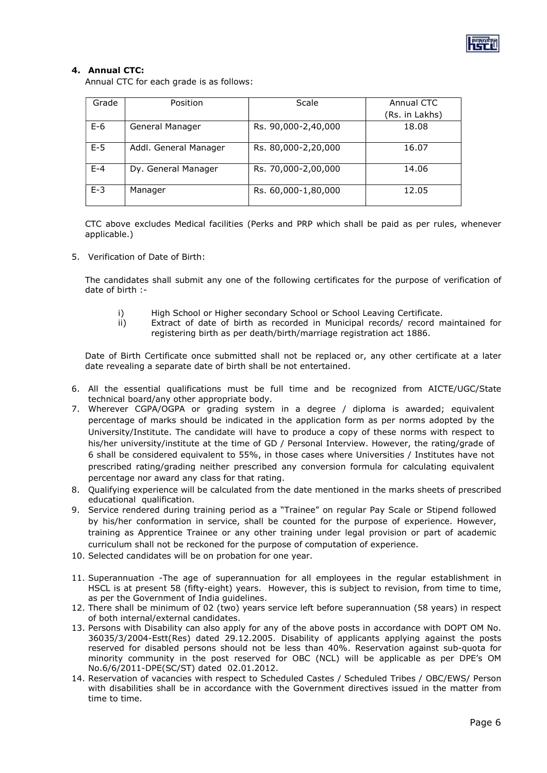

# 4. Annual CTC:

Annual CTC for each grade is as follows:

| Grade   | Position              | Scale               | Annual CTC     |
|---------|-----------------------|---------------------|----------------|
|         |                       |                     | (Rs. in Lakhs) |
| $E-6$   | General Manager       | Rs. 90,000-2,40,000 | 18.08          |
| $E-5$   | Addl. General Manager | Rs. 80,000-2,20,000 | 16.07          |
| $E - 4$ | Dy. General Manager   | Rs. 70,000-2,00,000 | 14.06          |
| $E-3$   | Manager               | Rs. 60,000-1,80,000 | 12.05          |

CTC above excludes Medical facilities (Perks and PRP which shall be paid as per rules, whenever applicable.)

5. Verification of Date of Birth:

The candidates shall submit any one of the following certificates for the purpose of verification of date of birth :-

- i) High School or Higher secondary School or School Leaving Certificate.
- ii) Extract of date of birth as recorded in Municipal records/ record maintained for registering birth as per death/birth/marriage registration act 1886.

Date of Birth Certificate once submitted shall not be replaced or, any other certificate at a later date revealing a separate date of birth shall be not entertained.

- 6. All the essential qualifications must be full time and be recognized from AICTE/UGC/State technical board/any other appropriate body.
- 7. Wherever CGPA/OGPA or grading system in a degree / diploma is awarded; equivalent percentage of marks should be indicated in the application form as per norms adopted by the University/Institute. The candidate will have to produce a copy of these norms with respect to his/her university/institute at the time of GD / Personal Interview. However, the rating/grade of 6 shall be considered equivalent to 55%, in those cases where Universities / Institutes have not prescribed rating/grading neither prescribed any conversion formula for calculating equivalent percentage nor award any class for that rating.
- 8. Qualifying experience will be calculated from the date mentioned in the marks sheets of prescribed educational qualification.
- 9. Service rendered during training period as a "Trainee" on regular Pay Scale or Stipend followed by his/her conformation in service, shall be counted for the purpose of experience. However, training as Apprentice Trainee or any other training under legal provision or part of academic curriculum shall not be reckoned for the purpose of computation of experience.
- 10. Selected candidates will be on probation for one year.
- 11. Superannuation -The age of superannuation for all employees in the regular establishment in HSCL is at present 58 (fifty-eight) years. However, this is subject to revision, from time to time, as per the Government of India guidelines.
- 12. There shall be minimum of 02 (two) years service left before superannuation (58 years) in respect of both internal/external candidates.
- 13. Persons with Disability can also apply for any of the above posts in accordance with DOPT OM No. 36035/3/2004-Estt(Res) dated 29.12.2005. Disability of applicants applying against the posts reserved for disabled persons should not be less than 40%. Reservation against sub-quota for minority community in the post reserved for OBC (NCL) will be applicable as per DPE's OM No.6/6/2011-DPE(SC/ST) dated 02.01.2012.
- 14. Reservation of vacancies with respect to Scheduled Castes / Scheduled Tribes / OBC/EWS/ Person with disabilities shall be in accordance with the Government directives issued in the matter from time to time.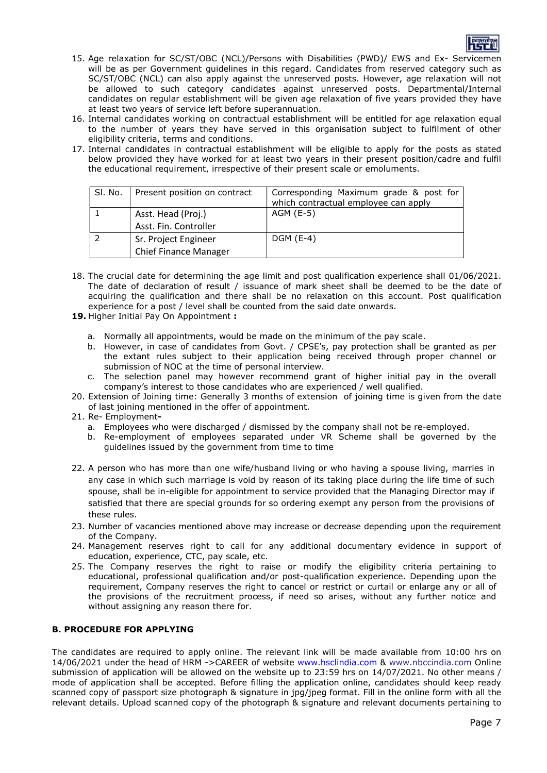

- 15. Age relaxation for SC/ST/OBC (NCL)/Persons with Disabilities (PWD)/ EWS and Ex- Servicemen will be as per Government guidelines in this regard. Candidates from reserved category such as SC/ST/OBC (NCL) can also apply against the unreserved posts. However, age relaxation will not be allowed to such category candidates against unreserved posts. Departmental/Internal candidates on regular establishment will be given age relaxation of five years provided they have at least two years of service left before superannuation.
- 16. Internal candidates working on contractual establishment will be entitled for age relaxation equal to the number of years they have served in this organisation subject to fulfilment of other eligibility criteria, terms and conditions.
- 17. Internal candidates in contractual establishment will be eligible to apply for the posts as stated below provided they have worked for at least two years in their present position/cadre and fulfil the educational requirement, irrespective of their present scale or emoluments.

| SI. No. | Present position on contract                         | Corresponding Maximum grade & post for<br>which contractual employee can apply |
|---------|------------------------------------------------------|--------------------------------------------------------------------------------|
|         | Asst. Head (Proj.)<br>Asst. Fin. Controller          | AGM (E-5)                                                                      |
|         | Sr. Project Engineer<br><b>Chief Finance Manager</b> | $DGM$ (E-4)                                                                    |

- 18. The crucial date for determining the age limit and post qualification experience shall 01/06/2021. The date of declaration of result / issuance of mark sheet shall be deemed to be the date of acquiring the qualification and there shall be no relaxation on this account. Post qualification experience for a post / level shall be counted from the said date onwards.
- 19. Higher Initial Pay On Appointment :
	- a. Normally all appointments, would be made on the minimum of the pay scale.
	- b. However, in case of candidates from Govt. / CPSE's, pay protection shall be granted as per the extant rules subject to their application being received through proper channel or submission of NOC at the time of personal interview.
	- c. The selection panel may however recommend grant of higher initial pay in the overall company's interest to those candidates who are experienced / well qualified.
- 20. Extension of Joining time: Generally 3 months of extension of joining time is given from the date of last joining mentioned in the offer of appointment.
- 21. Re- Employment
	- a. Employees who were discharged / dismissed by the company shall not be re-employed.
	- b. Re-employment of employees separated under VR Scheme shall be governed by the guidelines issued by the government from time to time
- 22. A person who has more than one wife/husband living or who having a spouse living, marries in any case in which such marriage is void by reason of its taking place during the life time of such spouse, shall be in-eligible for appointment to service provided that the Managing Director may if satisfied that there are special grounds for so ordering exempt any person from the provisions of these rules.
- 23. Number of vacancies mentioned above may increase or decrease depending upon the requirement of the Company.
- 24. Management reserves right to call for any additional documentary evidence in support of education, experience, CTC, pay scale, etc.
- 25. The Company reserves the right to raise or modify the eligibility criteria pertaining to educational, professional qualification and/or post-qualification experience. Depending upon the requirement, Company reserves the right to cancel or restrict or curtail or enlarge any or all of the provisions of the recruitment process, if need so arises, without any further notice and without assigning any reason there for.

# B. PROCEDURE FOR APPLYING

The candidates are required to apply online. The relevant link will be made available from 10:00 hrs on 14/06/2021 under the head of HRM ->CAREER of website www.hsclindia.com & www.nbccindia.com Online submission of application will be allowed on the website up to 23:59 hrs on 14/07/2021. No other means / mode of application shall be accepted. Before filling the application online, candidates should keep ready scanned copy of passport size photograph & signature in jpg/jpeg format. Fill in the online form with all the relevant details. Upload scanned copy of the photograph & signature and relevant documents pertaining to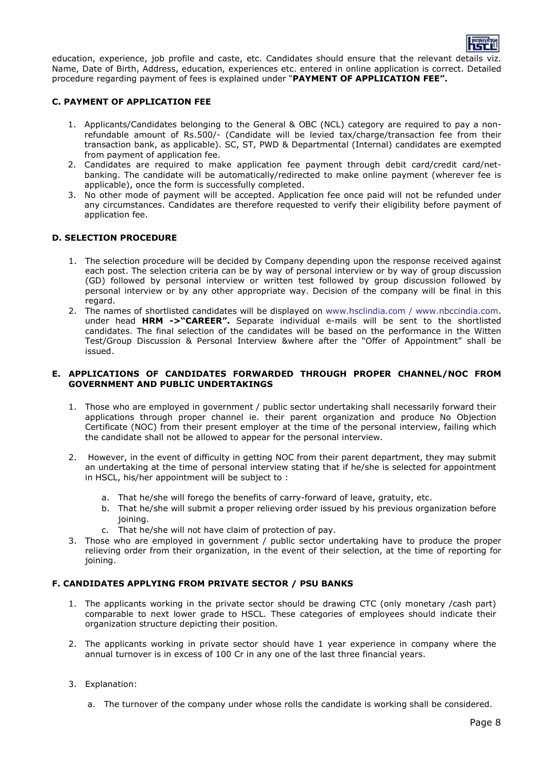

education, experience, job profile and caste, etc. Candidates should ensure that the relevant details viz. Name, Date of Birth, Address, education, experiences etc. entered in online application is correct. Detailed procedure regarding payment of fees is explained under "PAYMENT OF APPLICATION FEE".

### C. PAYMENT OF APPLICATION FEE

- 1. Applicants/Candidates belonging to the General & OBC (NCL) category are required to pay a nonrefundable amount of Rs.500/- (Candidate will be levied tax/charge/transaction fee from their transaction bank, as applicable). SC, ST, PWD & Departmental (Internal) candidates are exempted from payment of application fee.
- 2. Candidates are required to make application fee payment through debit card/credit card/netbanking. The candidate will be automatically/redirected to make online payment (wherever fee is applicable), once the form is successfully completed.
- 3. No other mode of payment will be accepted. Application fee once paid will not be refunded under any circumstances. Candidates are therefore requested to verify their eligibility before payment of application fee.

### D. SELECTION PROCEDURE

- 1. The selection procedure will be decided by Company depending upon the response received against each post. The selection criteria can be by way of personal interview or by way of group discussion (GD) followed by personal interview or written test followed by group discussion followed by personal interview or by any other appropriate way. Decision of the company will be final in this regard.
- 2. The names of shortlisted candidates will be displayed on www.hsclindia.com / www.nbccindia.com. under head HRM ->"CAREER". Separate individual e-mails will be sent to the shortlisted candidates. The final selection of the candidates will be based on the performance in the Witten Test/Group Discussion & Personal Interview &where after the "Offer of Appointment" shall be issued.

#### E. APPLICATIONS OF CANDIDATES FORWARDED THROUGH PROPER CHANNEL/NOC FROM GOVERNMENT AND PUBLIC UNDERTAKINGS

- 1. Those who are employed in government / public sector undertaking shall necessarily forward their applications through proper channel ie. their parent organization and produce No Objection Certificate (NOC) from their present employer at the time of the personal interview, failing which the candidate shall not be allowed to appear for the personal interview.
- 2. However, in the event of difficulty in getting NOC from their parent department, they may submit an undertaking at the time of personal interview stating that if he/she is selected for appointment in HSCL, his/her appointment will be subject to :
	- a. That he/she will forego the benefits of carry-forward of leave, gratuity, etc.
	- b. That he/she will submit a proper relieving order issued by his previous organization before joining.
	- c. That he/she will not have claim of protection of pay.
- 3. Those who are employed in government / public sector undertaking have to produce the proper relieving order from their organization, in the event of their selection, at the time of reporting for joining.

### F. CANDIDATES APPLYING FROM PRIVATE SECTOR / PSU BANKS

- 1. The applicants working in the private sector should be drawing CTC (only monetary /cash part) comparable to next lower grade to HSCL. These categories of employees should indicate their organization structure depicting their position.
- 2. The applicants working in private sector should have 1 year experience in company where the annual turnover is in excess of 100 Cr in any one of the last three financial years.
- 3. Explanation:
	- a. The turnover of the company under whose rolls the candidate is working shall be considered.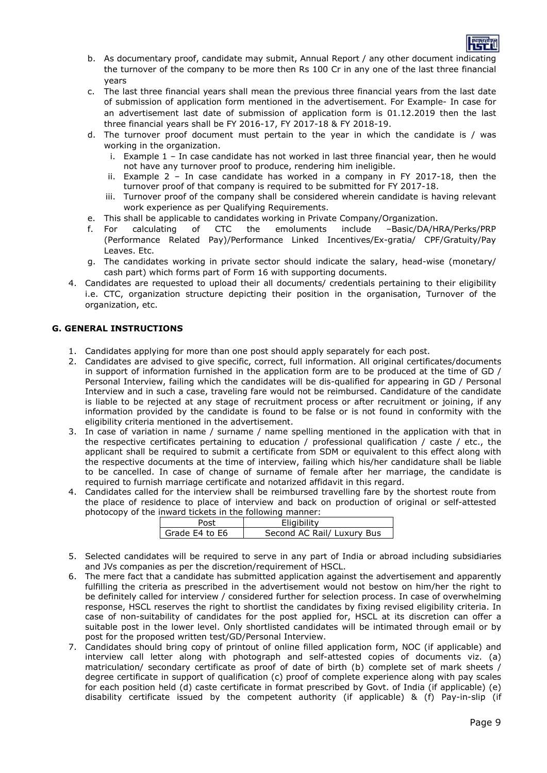

- b. As documentary proof, candidate may submit, Annual Report / any other document indicating the turnover of the company to be more then Rs 100 Cr in any one of the last three financial years
- c. The last three financial years shall mean the previous three financial years from the last date of submission of application form mentioned in the advertisement. For Example- In case for an advertisement last date of submission of application form is 01.12.2019 then the last three financial years shall be FY 2016-17, FY 2017-18 & FY 2018-19.
- d. The turnover proof document must pertain to the year in which the candidate is / was working in the organization.
	- i. Example 1 In case candidate has not worked in last three financial year, then he would not have any turnover proof to produce, rendering him ineligible.
	- ii. Example 2 In case candidate has worked in a company in FY 2017-18, then the turnover proof of that company is required to be submitted for FY 2017-18.
	- iii. Turnover proof of the company shall be considered wherein candidate is having relevant work experience as per Qualifying Requirements.
- e. This shall be applicable to candidates working in Private Company/Organization.
- f. For calculating of CTC the emoluments include –Basic/DA/HRA/Perks/PRP (Performance Related Pay)/Performance Linked Incentives/Ex-gratia/ CPF/Gratuity/Pay Leaves. Etc.
- g. The candidates working in private sector should indicate the salary, head-wise (monetary/ cash part) which forms part of Form 16 with supporting documents.
- 4. Candidates are requested to upload their all documents/ credentials pertaining to their eligibility i.e. CTC, organization structure depicting their position in the organisation, Turnover of the organization, etc.

## G. GENERAL INSTRUCTIONS

- 1. Candidates applying for more than one post should apply separately for each post.
- 2. Candidates are advised to give specific, correct, full information. All original certificates/documents in support of information furnished in the application form are to be produced at the time of GD / Personal Interview, failing which the candidates will be dis-qualified for appearing in GD / Personal Interview and in such a case, traveling fare would not be reimbursed. Candidature of the candidate is liable to be rejected at any stage of recruitment process or after recruitment or joining, if any information provided by the candidate is found to be false or is not found in conformity with the eligibility criteria mentioned in the advertisement.
- 3. In case of variation in name / surname / name spelling mentioned in the application with that in the respective certificates pertaining to education / professional qualification / caste / etc., the applicant shall be required to submit a certificate from SDM or equivalent to this effect along with the respective documents at the time of interview, failing which his/her candidature shall be liable to be cancelled. In case of change of surname of female after her marriage, the candidate is required to furnish marriage certificate and notarized affidavit in this regard.
- 4. Candidates called for the interview shall be reimbursed travelling fare by the shortest route from the place of residence to place of interview and back on production of original or self-attested photocopy of the inward tickets in the following manner:

| Post             | Eligibility                |
|------------------|----------------------------|
| l Grade E4 to E6 | Second AC Rail/ Luxury Bus |

- 5. Selected candidates will be required to serve in any part of India or abroad including subsidiaries and JVs companies as per the discretion/requirement of HSCL.
- 6. The mere fact that a candidate has submitted application against the advertisement and apparently fulfilling the criteria as prescribed in the advertisement would not bestow on him/her the right to be definitely called for interview / considered further for selection process. In case of overwhelming response, HSCL reserves the right to shortlist the candidates by fixing revised eligibility criteria. In case of non-suitability of candidates for the post applied for, HSCL at its discretion can offer a suitable post in the lower level. Only shortlisted candidates will be intimated through email or by post for the proposed written test/GD/Personal Interview.
- 7. Candidates should bring copy of printout of online filled application form, NOC (if applicable) and interview call letter along with photograph and self-attested copies of documents viz. (a) matriculation/ secondary certificate as proof of date of birth (b) complete set of mark sheets / degree certificate in support of qualification (c) proof of complete experience along with pay scales for each position held (d) caste certificate in format prescribed by Govt. of India (if applicable) (e) disability certificate issued by the competent authority (if applicable) & (f) Pay-in-slip (if